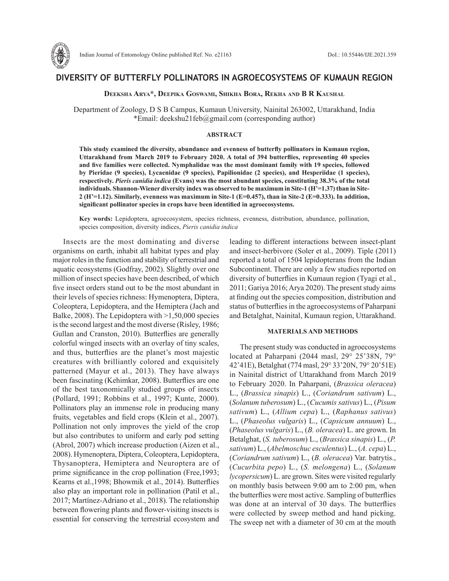

# **DIVERSITY OF BUTTERFLY POLLINATORS IN AGROECOSYSTEMS OF KUMAUN REGION**

**Deeksha Arya\*, Deepika Goswami, Shikha Bora, Rekha and B R Kaushal**

Department of Zoology, D S B Campus, Kumaun University, Nainital 263002, Uttarakhand, India \*Email: deekshu21feb@gmail.com (corresponding author)

# **ABSTRACT**

**This study examined the diversity, abundance and evenness of butterfly pollinators in Kumaun region, Uttarakhand from March 2019 to February 2020. A total of 394 butterflies, representing 40 species and five families were collected. Nymphalidae was the most dominant family with 19 species, followed by Pieridae (9 species), Lycaenidae (9 species), Papilionidae (2 species), and Hesperiidae (1 species), respectively.** *Pieris canidia indica* **(Evans) was the most abundant species, constituting 38.3% of the total individuals. Shannon-Wiener diversity index was observed to be maximum in Site-1 (H'=1.37) than in Site-2 (H'=1.12). Similarly, evenness was maximum in Site-1 (E=0.457), than in Site-2 (E=0.333). In addition, significant pollinator species in crops have been identified in agroecosystems.** 

**Key words:** Lepidoptera, agroecosystem, species richness, evenness, distribution, abundance, pollination, species composition, diversity indices, *Pieris canidia indica*

Insects are the most dominating and diverse organisms on earth, inhabit all habitat types and play major roles in the function and stability of terrestrial and aquatic ecosystems (Godfray, 2002). Slightly over one million of insect species have been described, of which five insect orders stand out to be the most abundant in their levels of species richness: Hymenoptera, Diptera, Coleoptera, Lepidoptera, and the Hemiptera (Jach and Balke, 2008). The Lepidoptera with  $>1,50,000$  species is the second largest and the most diverse (Risley, 1986; Gullan and Cranston, 2010). Butterflies are generally colorful winged insects with an overlay of tiny scales, and thus, butterflies are the planet's most majestic creatures with brilliantly colored and exquisitely patterned (Mayur et al., 2013). They have always been fascinating (Kehimkar, 2008). Butterflies are one of the best taxonomically studied groups of insects (Pollard, 1991; Robbins et al., 1997; Kunte, 2000). Pollinators play an immense role in producing many fruits, vegetables and field crops (Klein et al., 2007). Pollination not only improves the yield of the crop but also contributes to uniform and early pod setting (Abrol, 2007) which increase production (Aizen et al., 2008). Hymenoptera, Diptera, Coleoptera, Lepidoptera, Thysanoptera, Hemiptera and Neuroptera are of prime significance in the crop pollination (Free,1993; Kearns et al.,1998; Bhowmik et al., 2014). Butterflies also play an important role in pollination (Patil et al., 2017; Martínez-Adriano et al., 2018). The relationship between flowering plants and flower-visiting insects is essential for conserving the terrestrial ecosystem and leading to different interactions between insect-plant and insect-herbivore (Soler et al., 2009). Tiple (2011) reported a total of 1504 lepidopterans from the Indian Subcontinent. There are only a few studies reported on diversity of butterflies in Kumaun region (Tyagi et al., 2011; Gariya 2016; Arya 2020). The present study aims at finding out the species composition, distribution and status of butterflies in the agroecosystems of Paharpani and Betalghat, Nainital, Kumaun region, Uttarakhand.

# **MATERIALS AND METHODS**

The present study was conducted in agroecosystems located at Paharpani (2044 masl, 29° 25'38N, 79° 42'41E), Betalghat (774 masl, 29° 33'20N, 79° 20'51E) in Nainital district of Uttarakhand from March 2019 to February 2020. In Paharpani, (*Brassica oleracea*) L., (*Brassica sinapis*) L., (*Coriandrum sativum*) L., (*Solanum tuberosum*) L., (*Cucumis sativus*) L., (*Pisum sativum*) L., (*Allium cepa*) L., (*Raphanus sativus*) L., (*Phaseolus vulgaris*) L., (*Capsicum annuum*) L., (*Phaseolus vulgaris*) L., (*B. oleracea*) L. are grown. In Betalghat, (*S. tuberosum*) L., (*Brassica sinapis*) L., (*P. sativum*) L., (*Abelmoschuc esculentus*) L., (*A. cepa*) L., (*Coriandrum sativum*) L., (*B. oleracea*) Var. batrytis., (*Cucurbita pepo*) L., (*S. melongena*) L., (*Solanum lycopersicum*) L. are grown. Sites were visited regularly on monthly basis between 9:00 am to 2:00 pm, when the butterflies were most active. Sampling of butterflies was done at an interval of 30 days. The butterflies were collected by sweep method and hand picking. The sweep net with a diameter of 30 cm at the mouth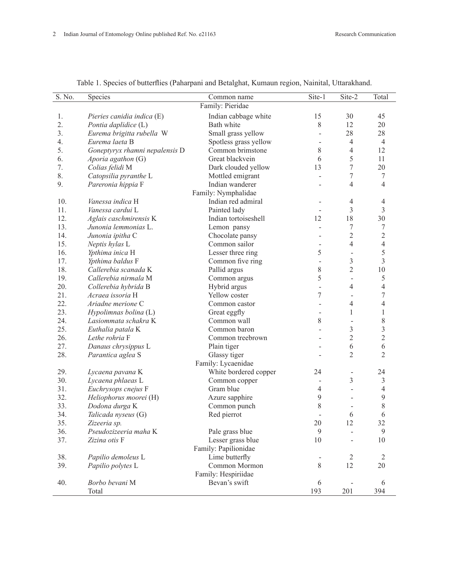| S. No. | Species                        | Common name           | Site-1                   | Site-2                   | Total                    |
|--------|--------------------------------|-----------------------|--------------------------|--------------------------|--------------------------|
|        |                                | Family: Pieridae      |                          |                          |                          |
| 1.     | Pieries canidia indica (E)     | Indian cabbage white  | 15                       | 30                       | 45                       |
| 2.     | Pontia daplidice (L)           | Bath white            | $8\,$                    | 12                       | 20                       |
| 3.     | Eurema brigitta rubella W      | Small grass yellow    | $\overline{\phantom{m}}$ | 28                       | 28                       |
| 4.     | Eurema laeta B                 | Spotless grass yellow | $\blacksquare$           | $\overline{4}$           | $\overline{4}$           |
| 5.     | Goneptyryx rhamni nepalensis D | Common brimstone      | 8                        | $\overline{4}$           | 12                       |
| 6.     | Aporia agathon (G)             | Great blackvein       | 6                        | 5                        | 11                       |
| 7.     | Colias felidi M                | Dark clouded yellow   | 13                       | $\tau$                   | 20                       |
| 8.     | Catopsilia pyranthe L          | Mottled emigrant      |                          | 7                        | $\tau$                   |
| 9.     | Pareronia hippia F             | Indian wanderer       |                          | 4                        | $\overline{4}$           |
|        |                                | Family: Nymphalidae   |                          |                          |                          |
| 10.    | Vanessa indica H               | Indian red admiral    |                          | 4                        | 4                        |
| 11.    | Vanessa cardui L               | Painted lady          |                          | $\overline{3}$           | 3                        |
| 12.    | Aglais caschmirensis K         | Indian tortoiseshell  | 12                       | 18                       | 30                       |
| 13.    | Junonia lemmonias L.           | Lemon pansy           |                          | 7                        | $\tau$                   |
| 14.    | Junonia ipitha C               | Chocolate pansy       |                          | $\overline{2}$           | $\sqrt{2}$               |
| 15.    | Neptis hylas L                 | Common sailor         |                          | $\overline{4}$           | $\overline{4}$           |
| 16.    | Ypthima inica H                | Lesser three ring     | 5                        | $\overline{\phantom{m}}$ | 5                        |
| 17.    | Ypthima baldus F               | Common five ring      |                          | $\overline{3}$           | $\overline{3}$           |
| 18.    | Callerebia scanada K           | Pallid argus          | 8                        | $\overline{2}$           | $10\,$                   |
| 19.    | Callerebia nirmala M           | Common argus          | 5                        | $\overline{a}$           | 5                        |
| 20.    | Collerebia hybrida B           | Hybrid argus          | $\overline{a}$           | $\overline{4}$           | $\overline{4}$           |
| 21.    | Acraea issoria H               | Yellow coster         | 7                        |                          | $\boldsymbol{7}$         |
| 22.    | Ariadne merione C              | Common castor         |                          | 4                        | $\overline{\mathcal{A}}$ |
| 23.    | Hypolimnas bolina (L)          | Great eggfly          |                          | $\mathbf{1}$             | $\mathbf{1}$             |
| 24.    | Lasiommata schakra K           | Common wall           | 8                        |                          | 8                        |
| 25.    | Euthalia patala K              | Common baron          |                          | $\mathfrak{Z}$           | 3                        |
| 26.    | Lethe rohria F                 | Common treebrown      |                          | $\overline{2}$           | $\overline{2}$           |
| 27.    | Danaus chrysippus L            | Plain tiger           |                          | 6                        | 6                        |
| 28.    | Parantica aglea S              | Glassy tiger          |                          | $\overline{2}$           | $\overline{2}$           |
|        |                                | Family: Lycaenidae    |                          |                          |                          |
| 29.    | Lycaena pavana K               | White bordered copper | 24                       | $\overline{\phantom{m}}$ | 24                       |
| 30.    | Lycaena phlaeas L              | Common copper         |                          | $\overline{3}$           | 3                        |
| 31.    | Euchrysops cnejus F            | Gram blue             | 4                        | $\overline{\phantom{0}}$ | $\overline{4}$           |
| 32.    | Heliophorus moorei (H)         | Azure sapphire        | 9                        |                          | 9                        |
| 33.    | Dodona durga K                 | Common punch          | 8                        | $\overline{\phantom{m}}$ | 8                        |
| 34.    | Talicada nyseus (G)            | Red pierrot           |                          | 6                        | 6                        |
| 35.    | Zizeeria sp.                   |                       | 20                       | 12                       | 32                       |
| 36.    | Pseudozizeeria maha K          | Pale grass blue       | 9                        |                          | 9                        |
| 37.    | Zizina otis F                  | Lesser grass blue     | 10                       |                          | 10                       |
|        |                                | Family: Papilionidae  |                          |                          |                          |
| 38.    | Papilio demoleus L             | Lime butterfly        | $\overline{\phantom{m}}$ | $\overline{2}$           | $\overline{2}$           |
| 39.    | Papilio polytes L              | Common Mormon         | 8                        | 12                       | $20\,$                   |
|        |                                | Family: Hespiriidae   |                          |                          |                          |
| 40.    | Borbo bevani M                 | Bevan's swift         | 6                        |                          | 6                        |
|        | Total                          |                       | 193                      | 201                      | 394                      |

Table 1. Species of butterflies (Paharpani and Betalghat, Kumaun region, Nainital, Uttarakhand.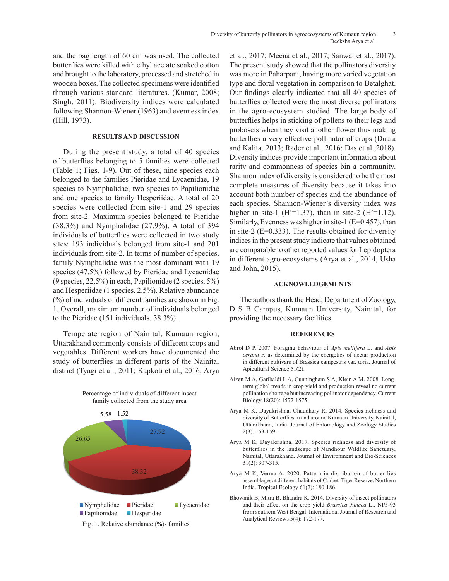and the bag length of 60 cm was used. The collected butterflies were killed with ethyl acetate soaked cotton and brought to the laboratory, processed and stretched in wooden boxes. The collected specimens were identified through various standard literatures. (Kumar, 2008; Singh, 2011). Biodiversity indices were calculated following Shannon-Wiener (1963) and evenness index (Hill, 1973).

# **RESULTS AND DISCUSSION**

During the present study, a total of 40 species of butterflies belonging to 5 families were collected (Table 1; Figs. 1-9). Out of these, nine species each belonged to the families Pieridae and Lycaenidae, 19 species to Nymphalidae, two species to Papilionidae and one species to family Hesperiidae. A total of 20 species were collected from site-1 and 29 species from site-2. Maximum species belonged to Pieridae (38.3%) and Nymphalidae (27.9%). A total of 394 individuals of butterflies were collected in two study sites: 193 individuals belonged from site-1 and 201 individuals from site-2. In terms of number of species, family Nymphalidae was the most dominant with 19 species (47.5%) followed by Pieridae and Lycaenidae (9 species, 22.5%) in each, Papilionidae (2 species, 5%) and Hesperiidae (1 species, 2.5%). Relative abundance (%) of individuals of different families are shown in Fig. 1. Overall, maximum number of individuals belonged to the Pieridae (151 individuals, 38.3%).

Temperate region of Nainital, Kumaun region, Uttarakhand commonly consists of different crops and vegetables. Different workers have documented the study of butterflies in different parts of the Nainital district (Tyagi et al., 2011; Kapkoti et al., 2016; Arya

> Percentage of individuals of different insect family collected from the study area



et al., 2017; Meena et al., 2017; Sanwal et al., 2017). The present study showed that the pollinators diversity was more in Paharpani, having more varied vegetation type and floral vegetation in comparison to Betalghat. Our findings clearly indicated that all 40 species of butterflies collected were the most diverse pollinators in the agro-ecosystem studied. The large body of butterflies helps in sticking of pollens to their legs and proboscis when they visit another flower thus making butterflies a very effective pollinator of crops (Duara and Kalita, 2013; Rader et al., 2016; Das et al.,2018). Diversity indices provide important information about rarity and commonness of species bin a community. Shannon index of diversity is considered to be the most complete measures of diversity because it takes into account both number of species and the abundance of each species. Shannon-Wiener's diversity index was higher in site-1 ( $H'=1.37$ ), than in site-2 ( $H'=1.12$ ). Similarly, Evenness was higher in site-1 (E=0.457), than in site-2 (E=0.333). The results obtained for diversity indices in the present study indicate that values obtained are comparable to other reported values for Lepidoptera in different agro-ecosystems (Arya et al., 2014, Usha and John, 2015).

# **ACKNOWLEDGEMENTS**

The authors thank the Head, Department of Zoology, D S B Campus, Kumaun University, Nainital, for providing the necessary facilities.

#### **REFERENCES**

- Abrol D P. 2007. Foraging behaviour of *Apis mellifera* L. and *Apis cerana* F. as determined by the energetics of nectar production in different cultivars of Brassica campestris var. toria. Journal of Apicultural Science 51(2).
- Aizen M A, Garibaldi L A, Cunningham S A, Klein A M. 2008. Longterm global trends in crop yield and production reveal no current pollination shortage but increasing pollinator dependency. Current Biology 18(20): 1572-1575.
- Arya M K, Dayakrishna, Chaudhary R. 2014. Species richness and diversity of Butterflies in and around Kumaun University, Nainital, Uttarakhand, India. Journal of Entomology and Zoology Studies 2(3): 153-159.
- Arya M K, Dayakrishna. 2017. Species richness and diversity of butterflies in the landscape of Nandhour Wildlife Sanctuary, Nainital, Uttarakhand. Journal of Environment and Bio-Sciences 31(2): 307-315.
- Arya M K, Verma A. 2020. Pattern in distribution of butterflies assemblages at different habitats of Corbett Tiger Reserve, Northern India. Tropical Ecology 61(2): 180-186.
- Bhowmik B, Mitra B, Bhandra K. 2014. Diversity of insect pollinators and their effect on the crop yield *Brassica Juncea* L., NP5-93 from southern West Bengal. International Journal of Research and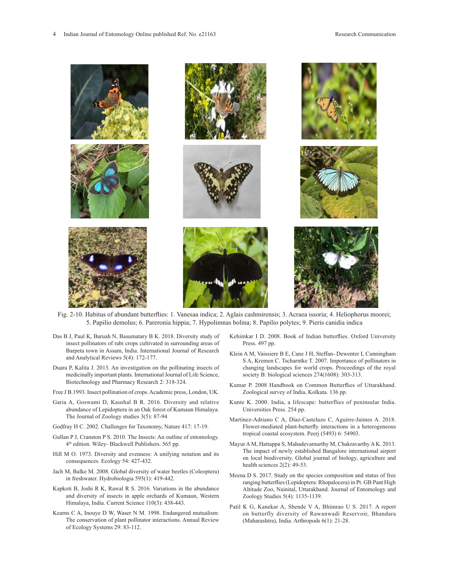

- Fig. 2-10. Habitus of abundant butterflies: 1. Vanesaa indica; 2. Aglais cashmirensis; 3. Acraea issoria; 4. Heliophorus moorei; 5. Papilio demolus; 6. Pareronia hippia; 7. Hypolimnas bolina; 8. Papilio polytes; 9. Pieris canidia indica (Linnaeus) *Hypolimnas bolina* (Linnaeus) *Papilio polytes* (Evans) *Pieris canidia indica*
- Das B J, Paul K, Baruah N, Basumatary B K. 2018. Diversity study of  insect pollinators of rabi crops cultivated in surrounding areas of Barpeta town in Assam, India. International Journal of Research Klein A.M. Vaissiere R.E. Cane L.H. Steffan, Dewenter L.Cun and Analytical Reviews 5(4): 172-177.
- Duara P, Kalita J. 2013. An investigation on the pollinating insects of *Hypolinaeus) informational bolinary of Lindschilds* (Europe) *Papilinaeus 214*(1000). 505-515.<br>Biotechnology and Pharmacy Research 2: 318-324. medicinally important plants. International Journal of Life Science,
- Free J B.1993. Insect pollination of crops. Academic press, London, UK.
- Garia A, Goswami D, Kaushal B R. 2016. Diversity and relative abundance of Lepidoptera in an Oak forest of Kumaun Himalaya. The Journal of Zoology studies 3(5): 87-94
- Godfray H C. 2002. Challenges for Taxonomy, Nature 417: 17-19.
- Gullan P J, Cranston P S. 2010. The Insects: An outline of entomology. 4th edition. Wiley- Blackwell Publishers. 565 pp.
- Hill M O. 1973. Diversity and evenness: A unifying notation and its consequences. Ecology 54: 427-432.
- Jach M, Balke M. 2008. Global diversity of water beetles (Coleoptera) in freshwater. Hydrobiologia 595(1): 419-442.
- Kapkoti B, Joshi R K, Rawal R S. 2016. Variations in the abundance and diversity of insects in apple orchards of Kumaun, Western Himalaya, India. Current Science 110(3): 438-443.
- Kearns C A, Inouye D W, Waser N M. 1998. Endangered mutualism: The conservation of plant pollinator interactions. Annual Review of Ecology Systems 29: 83-112.
- Kehimkar I D. 2008. Book of Indian butterflies. Oxford University Press. 497 pp.
- Klein A M, Vaissiere B E, Cane J H, Steffan- Dewenter I, Cunningham S A, Kremen C. Tscharntke T. 2007. Importance of pollinators in changing landscapes for world crops. Proceedings of the royal society B: biological sciences 274(1608): 303-313.
- Kumar P. 2008 Handbook on Common Butterflies of Uttarakhand. Zoological survey of India, Kolkata. 136 pp.
- Kunte K. 2000. India, a lifescape: butterflies of peninsular India. Universities Press. 254 pp.
- Martínez-Adriano C A, Díaz-Castelazo C, Aguirre-Jaimes A. 2018. Flower-mediated plant-butterfly interactions in a heterogeneous tropical coastal ecosystem. Peerj (5493) 6: 54903.
- Mayur A M, Hattappa S, Mahadevamurthy M, Chakravarthy A K. 2013. The impact of newly established Bangalore international airport on local biodiversity. Global journal of biology, agriculture and health sciences 2(2): 49-53.
- Meena D S. 2017. Study on the species composition and status of free ranging butterflies (Lepidoptera: Rhopalocera) in Pt. GB Pant High Altitude Zoo, Nainital, Uttarakhand. Journal of Entomology and Zoology Studies 5(4): 1135-1139.
- Patil K G, Kanekar A, Shende V A, Bhimrao U S. 2017. A report on butterfly diversity of Rawanwadi Reservoir, Bhandara (Maharashtra), India. Arthropods 6(1): 21-28.